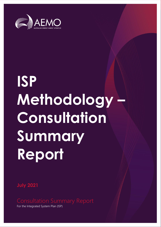

# **ISP Methodology – Consultation Summary Report**

**July 2021**

For the Integrated System Plan (ISP)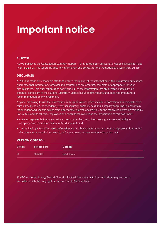## **Important notice**

### **PURPOSE**

AEMO publishes the Consultation Summary Report – ISP Methodology pursuant to National Electricity Rules (NER) 5.22.8(d). This report includes key information and context for the methodology used in AEMO's ISP.

### **DISCLAIMER**

AEMO has made all reasonable efforts to ensure the quality of the information in this publication but cannot guarantee that information, forecasts and assumptions are accurate, complete or appropriate for your circumstances. This publication does not include all of the information that an investor, participant or potential participant in the National Electricity Market (NEM) might require, and does not amount to a recommendation of any investment.

Anyone proposing to use the information in this publication (which includes information and forecasts from third parties) should independently verify its accuracy, completeness and suitability for purpose, and obtain independent and specific advice from appropriate experts. Accordingly, to the maximum extent permitted by law, AEMO and its officers, employees and consultants involved in the preparation of this document:

- make no representation or warranty, express or implied, as to the currency, accuracy, reliability or completeness of the information in this document; and
- are not liable (whether by reason of negligence or otherwise) for any statements or representations in this document, or any omissions from it, or for any use or reliance on the information in it.

### **VERSION CONTROL**

| <b>Version</b> | <b>Release date</b> | <b>Changes</b>  |
|----------------|---------------------|-----------------|
| 1.0            | 30/7/2021           | Initial Release |

© 2021 Australian Energy Market Operator Limited. The material in this publication may be used in accordance with the copyright [permissions](http://aemo.com.au/Privacy_and_Legal_Notices/Copyright_Permissions_Notice) on AEMO's website.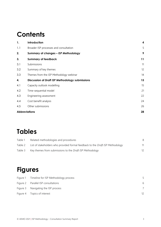## **Contents**

| 1.  | Introduction                                    | 4  |
|-----|-------------------------------------------------|----|
| 1.1 | Broader ISP processes and consultation          | 5  |
| 2.  | Summary of changes - ISP Methodology            | 9  |
| 3.  | <b>Summary of feedback</b>                      | 11 |
| 3.1 | Submissions                                     | 11 |
| 3.2 | Summary of key themes                           | 12 |
| 3.3 | Themes from the ISP Methodology webinar         | 14 |
| 4.  | Discussion of Draft ISP Methodology submissions | 15 |
| 4.1 | Capacity outlook modelling                      | 15 |
| 4.2 | Time-sequential model                           | 21 |
| 4.3 | Engineering assessment                          | 22 |
| 4.4 | Cost benefit analysis                           | 24 |
| 4.5 | Other submissions                               | 26 |
|     | <b>Abbreviations</b>                            | 28 |

## **Tables**

| Table 1 | Related methodologies and procedures                                           |  |
|---------|--------------------------------------------------------------------------------|--|
| Table 2 | List of stakeholders who provided formal feedback to the Draft ISP Methodology |  |
| Table 3 | Key themes from submissions to the Draft ISP Methodology                       |  |

## **Figures**

| Figure 1 Timeline for ISP Methodology process |    |
|-----------------------------------------------|----|
| Figure 2 Parallel ISP consultations           | 6  |
| Figure 3 Navigating the ISP process           |    |
| Figure 4 Topics of interest                   | 12 |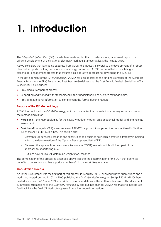# <span id="page-3-0"></span>**1. Introduction**

The *Integrated System Plan* (ISP) is a whole-of-system plan that provides an integrated roadmap for the efficient development of the National Electricity Market (NEM) over at least the next 20 years.

AEMO considers that leveraging expertise from across the industry is pivotal to the development of a robust plan that supports the long-term interests of energy consumers. AEMO is committed to facilitating a stakeholder engagement process that ensures a collaborative approach to developing the 2022 ISP.

In the development of the *ISP Methodology*, AEMO has also addressed the binding elements of the Australian Energy Regulator's (AER's) Forecasting Best Practice Guidelines and the Cost Benefit Analysis Guidelines (CBA Guidelines). This included:

- Providing a transparent process.
- Supporting and working with stakeholders in their understanding of AEMO's methodologies.
- Providing additional information to complement the formal documentation.

### **Purpose of the ISP Methodology**

AEMO has published the *ISP Methodology*, which accompanies this consultation summary report and sets out the methodologies for:

- **Modelling** the methodologies for the capacity outlook models, time-sequential model, and engineering assessment.
- **Cost benefit analysis** (CBA) an overview of AEMO's approach to applying the steps outlined in Section 3.3 of the AER's CBA Guidelines. This section also:
	- Differentiates between scenarios and sensitivities and outlines how each is treated differently in helping inform the determination of the Optimal Development Path (ODP).
	- Discusses the approach to take-one-out-at-a-time (TOOT) analysis, which will form part of the approach to undertaking CBA.
	- Outlines how AEMO will determine weights for scenarios

The combination of the processes described above leads to the determination of the ODP that optimises benefits to consumers and has a positive net benefit in the most likely scenario.

### **Consultation Process**

An initial Issues Paper was the first part of this process in February 2021. Following written submissions and a workshop hosted on 1 April 2021, AEMO published the *Draft ISP Methodology* on 30 April 2021. AEMO then hosted a webinar on 17 June 2021 to workshop recommendations in the written submissions. This document summarises submissions to the *Draft ISP Methodology* and outlines changes AEMO has made to incorporate feedback into the final *ISP Methodology* (see [Figure 1](#page-4-1) for more information).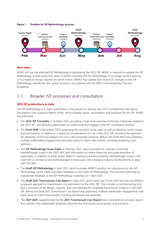<span id="page-4-1"></span>



### **Next steps**

AEMO will use the attached *ISP Methodology* in developing the 2022 ISP. AEMO is required to update the *ISP Methodology* at least every four years. If AEMO considers the *ISP Methodology* to no longer be best practice, or if a material change requires an earlier review, AEMO may update and consult on changes to the *ISP Methodology* outside the four-yearly process in accordance with the AER's Forecasting Best Practice Guidelines.

### <span id="page-4-0"></span>1.1 Broader ISP processes and consultation

### **2022 ISP publications to date**

The *ISP Methodology* is a major publication in the process to develop the ISP. It complements the *Inputs, Assumptions and Scenarios Report* (IASR), which finalises inputs, assumptions and scenarios for the ISP. AEMO has published:

- The **2022 ISP Timetable** in October 2020, providing a high-level overview of the key milestones related to the 2022 ISP, and allowing stakeholders to understand and engage in the ISP consultation process.
- The **Draft IASR** in December 2020, proposing the scenarios to be used, as well as detailing current inputs and assumptions in relation to a variety of considerations for use in the 2022 ISP, including the approach for updating current assumptions for use in the proposed scenarios. Before the Draft IASR was published, multiple stakeholder engagements had taken place to inform the content, including workshops and webinars.
- The *ISP Methodology Issues Paper* in February 2021, which provided an overview of existing methodologies (used in the 2020 ISP), and information on where these are discussed elsewhere (if applicable), in addition to areas where AEMO is looking to enhance existing methodologies (used in the 2020 ISP) or introduce new methodologies to keep pace with emerging industry developments or align with the CBA.
- The *Draft ISP Methodology* in April 2021, which provides AEMO's position on submissions to the *ISP Methodology* Issues Paper and seeks feedback on the *Draft ISP Methodology*. This was also informed by stakeholder feedback at the *ISP Methodology* workshop on 1 April 2021.
- The *Draft 2021 Transmission Cost Report* in May 2021, which forms part of the IASR and sets out AEMO's proposed approach to transmission cost estimation for the 2022 ISP. This includes a cost estimating tool, and a summary of the design, capacity, and cost estimate for candidate transmission projects in the 2022 ISP. Before the *Draft 2021 Transmission Cost Report* was published, multiple stakeholder engagements had taken place to inform the content, including workshops and webinars.
- The *2021 IASR*, supplemented by the *2021 Transmission Cost Report* and a consultation summary report that outlines how stakeholder feedback informed the final inputs, assumptions, and scenarios.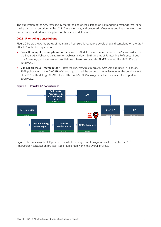The publication of the *ISP Methodology* marks the end of consultation on ISP modelling methods that utilise the inputs and assumptions in the IASR. These methods, and proposed refinements and improvements, are not reliant on individual assumptions or the scenario definitions.

### **2022 ISP ongoing consultations**

[Figure 2](#page-5-0) below shows the status of the main ISP consultations. Before developing and consulting on the Draft 2022 ISP, AEMO is required to:

- **Consult on inputs, assumptions and scenarios**  AEMO received submissions from 47 stakeholders on the Draft IASR. Following a submission webinar in March 2021, a series of Forecasting Reference Group (FRG) meetings, and a separate consultation on transmission costs, AEMO released the 2021 IASR on 30 July 2021.
- **Consult on the** *ISP Methodology* after the *ISP Methodology Issues Paper* was published in February 2021, publication of the *Draft ISP Methodology* marked the second major milestone for the development of an ISP methodology. AEMO released the final *ISP Methodology*, which accompanies this report, on 30 July 2021.

<span id="page-5-0"></span>

[Figure 3](#page-6-0) below shows the ISP process as a whole, noting current progress on all elements. The *ISP Methodology* consultation process is also highlighted within the overall process.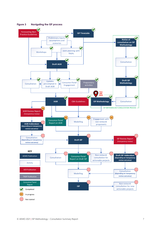<span id="page-6-0"></span>

**Figure 3 Navigating the ISP process**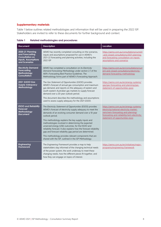### **Supplementary materials**

Table 1 below outlines related methodologies and information that will be used in preparing the 2022 ISP. Stakeholders are invited to refer to these documents for further background and context.

| <b>Document</b>                                                                                                     | <b>Description</b>                                                                                                                                                                                                                                                                                                                                                                                                                                                                                                                                                                                                                                                                                                                                                                                                                       | Location                                                                                                                                                      |
|---------------------------------------------------------------------------------------------------------------------|------------------------------------------------------------------------------------------------------------------------------------------------------------------------------------------------------------------------------------------------------------------------------------------------------------------------------------------------------------------------------------------------------------------------------------------------------------------------------------------------------------------------------------------------------------------------------------------------------------------------------------------------------------------------------------------------------------------------------------------------------------------------------------------------------------------------------------------|---------------------------------------------------------------------------------------------------------------------------------------------------------------|
| <b>2020-21 Planning</b><br>and Forecasting<br><b>Consultation on</b><br><b>Inputs, Assumptions</b><br>and Scenarios | AEMO has recently completed consulting on the scenarios,<br>inputs and assumptions proposed for use in AEMO's<br>2021-22 forecasting and planning activities, including the<br>2022 ISP                                                                                                                                                                                                                                                                                                                                                                                                                                                                                                                                                                                                                                                  | https://aemo.com.au/consultations/current<br>-and-closed-consultations/2021-planning-<br>and-forecasting-consultation-on-inputs-<br>assumptions-and-scenarios |
| <b>Electricity Demand</b><br><b>Forecasting</b><br>Methodology<br><b>Consultation</b>                               | AEMO has completed a consultation on its Electricity<br>Demand Forecasting Methodology under section 2.1 of the<br>AER's Forecasting Best Practice Guidelines. The<br>Methodology forms part of AEMO's Forecasting Approach.                                                                                                                                                                                                                                                                                                                                                                                                                                                                                                                                                                                                             | https://aemo.com.au/en/consultations/curr<br>ent-and-closed-consultations/electricity-<br>demand-forecasting-methodology                                      |
| 2021 GSOO Gas<br><b>Supply Adequacy</b><br>Methodology                                                              | The Gas Statement of Opportunities (GSOO) provides<br>https://aemo.com.au/en/energy-systems/<br>AEMO's forecast of annual gas consumption and maximum<br>gas/gas-forecasting-and-planning/gas-<br>gas demand, and reports on the adequacy of eastern and<br>statement-of-opportunities-gsoo<br>south-eastern Australian gas markets to supply forecast<br>demand over a 20-year outlook period.<br>This document describes the methodology and assumptions<br>used to assess supply adequacy for the 2021 GSOO.                                                                                                                                                                                                                                                                                                                          |                                                                                                                                                               |
| <b>ESOO and Reliability</b><br><b>Forecast</b><br>Methodology<br><b>Document</b>                                    | The Electricity Statement of Opportunities (ESOO) provides<br>https://aemo.com.au/en/energy-systems/<br>electricity/national-electricity-market-<br>AEMO's forecast of electricity supply adequacy to meet the<br>nem/nem-forecasting-and-planning/<br>demands of an evolving consumer demand over a 10-year<br>forecasting-and-reliability/nem-electricity-<br>outlook period.<br>statement-of-opportunities-esoo<br>This methodology explains the key supply inputs and<br>methodologies involved in determining the expected<br>unserved energy (USE) outcomes, for the ESOO and<br>reliability forecast. It also explains how the forecast reliability<br>gap and forecast reliability gap period are determined.<br>This methodology provides relevant components that are<br>shared with the ISP, outlined in the ISP Methodology. |                                                                                                                                                               |
| <b>Engineering</b><br><b>Framework</b>                                                                              | The Engineering Framework provides a map to help<br>stakeholders stay informed of the changing technical needs<br>of the power system, the work underway to meet these<br>changing needs, how the different pieces fit together, and<br>how they can engage on topics of interest.                                                                                                                                                                                                                                                                                                                                                                                                                                                                                                                                                       | https://aemo.com.au/en/initiatives/major-<br>programs/engineering-framework                                                                                   |

<span id="page-7-0"></span>**Table 1 Related methodologies and procedures**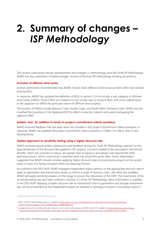## <span id="page-8-0"></span>**2. Summary of changes –** *ISP Methodology*

This section summarises the key developments and changes in methodology since the *Draft ISP Methodology*. AEMO has also published a 'tracked changes' version of the final *ISP Methodology* showing all revisions.

### **Inclusion of offshore wind zones**

Several submissions recommended that AEMO include more offshore wind resources both within and outside existing REZs.

In response, AEMO has updated the definition of REZs in section 2.3.4 to include a sub-category of offshore wind zones (OWZs). These OWZs are treated in a very similar way to onshore REZs, with minor adjustments to the approach to reflect the particular nature of offshore wind projects.

The location of OWZs include Illawarra Coast, Hunter Coast, and North West Tasmania Coast. AEMO has also modified the boundary of the Gippsland REZ to reflect connection interest and avoid overlapping the adjacent OWZ.

### **Added "sea" (in addition to land) on project commitment criteria questions**

AEMO received feedback that sea areas were not included in the project commitment criteria questions. In response, AEMO has updated the project commitment criteria questions in Table 2 to reflect 'land or sea' developments.

### **Added approach to sensitivity testing using a higher discount rate.**

AEMO received several written submissions and feedback during the *Draft ISP Methodology* webinar<sup>1</sup> on the appropriateness of the discount rate applied to ISP projects. Concerns related to the assumption that annual benefits, which are uncertain in nature, are greater than or equal to annualised costs beyond the 2050 planning horizon, which could result in stranded asset risk should this prove false. Some stakeholders suggested that AEMO should consider applying higher discount rates to transmission projects as this would result in more cost being recouped within the planning horizon.

As outlined in the 2021 IASR, AEMO engaged independent expert opinion on the appropriate discount rate to apply to generation and transmission assets, as well as a range of discount rates. Like other key variables, AEMO will apply sensitivity analysis on this range to ensure the robustness of the ODP. The importance of this sensitivity testing has also been outlined in Section 5.2 of the *ISP Methodology*. More information is available in the 2021 IASR. Applying a higher discount rate to transmission than to generation and storage investments was not recommended by the independent expert (as detailed in Synergies Economic Consulting's report<sup>2</sup>).

<sup>&</sup>lt;sup>1</sup> AEMO, Draft ISP Methodology webinar, available a[t https://aemo.com.au/-/media/files/major-publications/isp/2022/isp-methodology](https://aemo.com.au/-/media/files/major-publications/isp/2022/isp-methodology-webinar.mp4?la=en&hash=77EF3C9D0EEF34BC2C46BB72B1B1155A)[webinar.mp4?la=en&hash=77EF3C9D0EEF34BC2C46BB72B1B1155A.](https://aemo.com.au/-/media/files/major-publications/isp/2022/isp-methodology-webinar.mp4?la=en&hash=77EF3C9D0EEF34BC2C46BB72B1B1155A)

<sup>&</sup>lt;sup>2</sup> Synergies Economic Consulting, Discount rates for use in cost benefit analysis of AEMO's 2022 ISP, available at [https://aemo.com.au/en/energy](https://aemo.com.au/en/energy-systems/major-publications/integrated-system-plan-isp/2022-integrated-system-plan-isp/current-inputs-assumptions-and-scenarios)[systems/major-publications/integrated-system-plan-isp/2022-integrated-system-plan-isp/current-inputs-assumptions-and-scenarios.](https://aemo.com.au/en/energy-systems/major-publications/integrated-system-plan-isp/2022-integrated-system-plan-isp/current-inputs-assumptions-and-scenarios)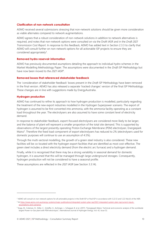### **Clarification of non-network consultation**

AEMO received several submissions stressing that non-network solutions should be given more consideration as viable alternates compared to network augmentations.

AEMO agrees that a robust consideration of non-network solutions in addition to network alternatives is required, and notes that non-network options were consulted on via the Draft IASR and in the *Draft 2021 Transmission Cost Report*. In response to this feedback, AEMO has added text in Section 2.3.3 to clarify that AEMO will consult further on non-network options for all actionable ISP projects to ensure they are considered appropriately<sup>3</sup>.

### **Removed hydro reservoir information**

AEMO has previously documented asumptions detailing the approach to individual hydro schemes in the Market Modelling Methodology Paper. The assumptions were documented in the *Draft ISP Methodology* but have now been moved to the 2021 IASR<sup>4</sup>.

### **Removed boxes that referenced stakeholder feedback**

The 'consideration of stakeholder feedback' boxes present in the *Draft ISP Methodology* have been removed in the final version. AEMO has also released a separate 'tracked changes' version of the final *ISP Methodology.* These changes are in line with suggestions made by EnergyAustralia.

### **Hydrogen production**

AEMO has continued to refine its approach to how hydrogen production is modelled, particularly regarding the treatment of the new export industries modelled in the Hydrogen Superpower scenario. The export of hydrogen is assumed to be first converted into ammonia, with the ammonia facility operating as a constant load throughout the year. The electrolysers are also assumed to have some constant level of electricity demand.

In response to stakeholder feedback, export-focused electrolysers are considered more likely to be larger, and the balance of plant will represent a smaller proportion of the total site demand. This is supported by observations of the largest presently operating Proton Exchange Membrane (PEM) electrolyser, Energiepark Mainz<sup>5</sup>. Therefore the fixed load component of export electrolysers has reduced to 2% (electrolysers used for domestic purposes will continue to use an assumption of 4.5%).

Through the multi-sectoral modelling, the growth of a green steel industry is also considered. These new facilities will be co-located with the hydrogen export facilities that are identified as most cost-effective. The green steel includes a direct electricity demand (from the electric arc furnace) and a hydrogen demand.

Finally, while it is recognised that there may be a strong variability in seasonal demand for domestic hydrogen, it is assumed that this will be managed through large underground storages. Consequently, hydrogen production will not be considered to have a seasonal profile.

These assumptions are reflected in the *2021 IASR* (see Section 3.3.14).

<sup>&</sup>lt;sup>3</sup> AEMO will consult on non-network options for all actionable projects in the Draft ISP or final ISP in accordance with 5.22.12 and 5.22.14(c)(1) of the NER.

<sup>4</sup> A[t https://www.aemo.com.au/energy-systems/major-publications/integrated-system-plan-isp/2022-integrated-system-plan-isp/current-inputs](https://www.aemo.com.au/energy-systems/major-publications/integrated-system-plan-isp/2022-integrated-system-plan-isp/current-inputs-assumptions-and-scenarios)[assumptions-and-scenarios.](https://www.aemo.com.au/energy-systems/major-publications/integrated-system-plan-isp/2022-integrated-system-plan-isp/current-inputs-assumptions-and-scenarios) 

<sup>5</sup> Kopp, M., Coleman, D., Stiller, C., Scheffer, K., Aichinger, J., Scheppat, B. et al. (2017), "Energiepark Mainz: Technical and economic analysis of the worldwide largest Power-to-Gas plant with PEM electrolysis", International Journal of Hydrogen Energy, Vol. 42, Issue 52.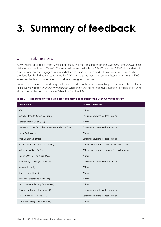# <span id="page-10-0"></span>**3. Summary of feedback**

### <span id="page-10-1"></span>3.1 Submissions

AEMO received feedback from 17 stakeholders during the consultation on the *Draft ISP Methodology*; these stakeholders are listed in [Table 2.](#page-10-2) The submissions are available on AEMO's website. AEMO also undertook a series of one-on-one engagements. A verbal feedback session was held with consumer advocates, who provided feedback that was considered by AEMO in the same way as all other written submissions. AEMO would like to thank all who provided feedback throughout this process.

Submissions covered a broad range of topics, providing AEMO with a valuable perspective on stakeholders' collective view of the *Draft ISP Methodology*. While there was comprehensive coverage of topics, there were also common themes, as shown in Table 3 (in Section 3.2).

| <b>Stakeholder</b>                                 | Form of submission                             |
|----------------------------------------------------|------------------------------------------------|
| AGL                                                | Written                                        |
| Australian Industry Group (Al Group)               | Consumer advocate feedback session             |
| Electrical Trades Union (ETU)                      | Written                                        |
| Energy and Water Ombudsman South Australia (EWOSA) | Consumer advocate feedback session             |
| EnergyAustralia (EA)                               | Written                                        |
| Etrog Consulting (Etrog)                           | Consumer advocate feedback session             |
| ISP Consumer Panel (Consumer Panel)                | Written and consumer advocate feedback session |
| Major Energy Users (MEU)                           | Written and consumer advocate feedback session |
| Maritime Union of Australia (MUA)                  | Written                                        |
| Mark Henley / Uniting Communities                  | Consumer advocate feedback session             |
| Monash University                                  | Written                                        |
| Origin Energy (Origin)                             | Written                                        |
| Powerlink Queensland (Powerlink)                   | Written                                        |
| Public Interest Advocacy Centre (PIAC)             | Written                                        |
| Queensland Farmers Federation (QFF)                | Consumer advocate feedback session             |
| Total Environment Centre (TEC)                     | Consumer advocate feedback session             |
| Victorian Bioenergy Network (VBN)                  | Written                                        |

<span id="page-10-2"></span>**Table 2 List of stakeholders who provided formal feedback to the** *Draft ISP Methodology*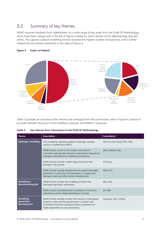## <span id="page-11-0"></span>3.2 Summary of key themes

AEMO received feedback from stakeholders on a wide range of key areas from the *Draft ISP Methodology*, which have been categorised in the left of Figure 4 based on which section of the Methodology they fall within. The capacity outlook modelling section received the highest number of responses, and is further refined into the themes presented in the right of Figure 4.



### <span id="page-11-2"></span>**Figure 4 Topics of interest**

Table 3 provides an overview of the themes that emerged from the submissions seen in Figure [4.](#page-14-0) Section [4](#page-14-0) provides detailed discussion of the feedback received, and AEMO's responses.

<span id="page-11-1"></span>

| Table 3 | Key themes from submissions to the Draft ISP Methodology |
|---------|----------------------------------------------------------|
|---------|----------------------------------------------------------|

| <b>Theme</b>                           | <b>Description</b>                                                                                                                                                                                                        | Submitter(s)                  |
|----------------------------------------|---------------------------------------------------------------------------------------------------------------------------------------------------------------------------------------------------------------------------|-------------------------------|
| Hydrogen modelling                     | The uncertainty regarding uptake of hydrogen warrants<br>caution in modelling by AEMO.                                                                                                                                    | ISP Consumer Panel, PIAC, MEU |
|                                        | AEMO should consult on the location and network<br>connection type (private network or transmission network) of<br>hydrogen electrolysers for modelling assumptions.                                                      | MEU, EWOSA, PIAC              |
|                                        | AEMO should consider a wider range of services that<br>hydrogen may provide.                                                                                                                                              | Al Group                      |
|                                        | AEMO should consider development of variable renewable<br>generation, in particular wind generation, to supply local<br>hydrogen loads and offset network development.                                                    | MUA, ETU                      |
| Modelling a<br>decarbonising grid      | AEMO should consider the modelling of earlier than<br>anticipated generator retirements.                                                                                                                                  | AGL, PIAC                     |
|                                        | AEMO should undertake further consultation on emission<br>trajectories and the related electrification of loads.                                                                                                          | EA, VBN                       |
| Modelling<br>generation<br>development | AEMO should carefully consider the inclusion of anticipated<br>projects or plans (be they government or private), and<br>sensitivities should be conducted where investments are<br>highly dependent on such assumptions. | Powerlink, PIAC, ETROG        |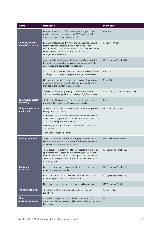| <b>Theme</b><br><b>Description</b>                                                                                                                        |                                                                                                                                                                                                                                                                         | Submitter(s)                    |
|-----------------------------------------------------------------------------------------------------------------------------------------------------------|-------------------------------------------------------------------------------------------------------------------------------------------------------------------------------------------------------------------------------------------------------------------------|---------------------------------|
|                                                                                                                                                           | Further consideration of biomass for electricity and heat<br>VBN, EA<br>production should be made in the ISP. The potential for<br>offsets and derived biofuels furthers this cause.                                                                                    |                                 |
| <b>Capacity outlook</b><br>modelling approach                                                                                                             | Forecast photovoltaics (PV) rates should take into account<br>recent installation rates and also factor in the export<br>constraints levied on rooftop solar in South Australia and the<br>Energy Security Board's consideration for similar<br>arrangements elsewhere. | Powerlink, Origin               |
|                                                                                                                                                           | AEMO should consider ways to better model gas including<br>the impact of carbon tax on gas prices and how better to<br>co-optimise and coordinate in modelling.                                                                                                         | ISP Consumer Panel, VBN         |
|                                                                                                                                                           | AEMO should provide further consideration and clarification<br>of who pays with respect to system strength remediation.                                                                                                                                                 | AGL, MEU                        |
|                                                                                                                                                           | Offshore wind should be modelled as a possible candidate<br>generation source for more REZs than just Gippsland and<br>included in the counterfactual scenario.                                                                                                         | MUA, ETU                        |
|                                                                                                                                                           | The ISP should more rigorously consider non-network<br>solutions including applications to edge of grid customers.                                                                                                                                                      | MEU, Uniting Communities, ETROG |
| <b>Transmission system</b><br>The ISP should recognise that delivering multiple major<br>modelling<br>projects side by side will increase delivery costs. |                                                                                                                                                                                                                                                                         | <b>MEU</b>                      |
| Wider societal costs<br>and benefits                                                                                                                      | The costs and benefits assessed in the ISP modelling should<br>be expanded to include:                                                                                                                                                                                  | MUA, ETU, AI Group              |
|                                                                                                                                                           | • Transition costs for affected communities with respect to<br>new REZs being developed more than 50 km from existing<br>coal powered generator stations.                                                                                                               |                                 |
|                                                                                                                                                           | • Employment, education and health benefits should be<br>modelled.                                                                                                                                                                                                      |                                 |
|                                                                                                                                                           | • Emission reduction benefits.                                                                                                                                                                                                                                          |                                 |
| <b>Annuity approach</b>                                                                                                                                   | There is a stranded assest risk for projects modelled in the<br>ISP due to the assumption that benefits balance annualised<br>costs beyond the modelling horizon.                                                                                                       | ISP Consumer Panel, MEU         |
|                                                                                                                                                           | The discount rate determined for ISP modelling may not be<br>appropriate as it is based on network investments whose<br>lives can extend beyond the planning horizon. This requires<br>assumptions being made for uncertain benefits beyond the<br>modelling horizon.   | ISP Consumer Panel, MEU         |
| <b>The Delphi</b><br>technique                                                                                                                            | General support for the use of the Delphi technique to<br>determine scenario weights.                                                                                                                                                                                   | ISP Consumer Panel, PIAC        |
|                                                                                                                                                           | Importance of including consumer representatives from<br>different types of consumers in the panel.                                                                                                                                                                     | ISP Consumer Panel, PIAC        |
|                                                                                                                                                           | Hydrogen modelling should be referred to Delphi panel.                                                                                                                                                                                                                  | <b>ISP Consumer Panel</b>       |
| Sub-regional model                                                                                                                                        | The structure of the sub-regional model was generally<br>supported.                                                                                                                                                                                                     | Powerlink, EA                   |
| Other<br><b>recommendations</b>                                                                                                                           | A 'tracked changes' version of the final ISP Methodology<br>should be published to assist stakeholders in identifying what<br>has changed.                                                                                                                              | EA                              |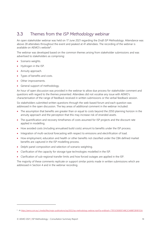## <span id="page-13-0"></span>3.3 Themes from the *ISP Methodology* webinar

An open stakeholder webinar was held on 17 June 2021 regarding the *Draft ISP Methodology*. Attendance was above 28 attendees throughout the event and peaked at 41 attendees. The recording of the webinar is available on AEMO's website<sup>6</sup>.

The webinar was developed based on the common themes arising from stakeholder submissions and was advertised to stakeholders as comprising:

- Scenario weights.
- Hydrogen in the ISP.
- Annuity approach.
- Types of benefits and costs.
- Other improvements.
- General support of methodology.

An hour of open discussion was provided in the webinar to allow due process for stakeholder comment and questions with regard to the themes presented. Attendees did not vocalise any issue with AEMO's characterisation of the range of feedback received in written submissions or the verbal feedback session.

Six stakeholders submitted written questions through the web-based forum and each question was addressed in the open discussion. The key areas of additional comment in the webinar included:

- The assumption that benefits are greater than or equal to costs beyond the 2050 planning horizon in the annuity approach and the perception that this may increase risk of stranded assets.
- The quantification and recovery timeframes of costs assumed for ISP projects and the discount rate applied in modelling.
- How avoided costs (including annualised build costs) amount to benefits under the ISP process.
- Integration of multi-sectoral forecasting with respect to emissions and electrification of load.
- How employment, education and health or other benefits not classified under the CBA defined market benefits are captured in the ISP modelling process.
- Delphi panel composition and selection of scenario weighting.
- Clarification of the capacity for storage type technologies modelled in the ISP.
- Clarification of sub-regional transfer limits and how forced outages are applied in the ISP.

The majority of these comments replicate or support similar points made in written submissions which are addressed in Section [4](#page-14-0) and in the webinar recording.

<sup>6</sup> At [https://aemo.com.au/-/media/files/major-publications/isp/2022/isp-methodology-webinar.mp4?la=en&hash=77EF3C9D0EEF34BC2C46BB72B1B1155A.](https://aemo.com.au/-/media/files/major-publications/isp/2022/isp-methodology-webinar.mp4?la=en&hash=77EF3C9D0EEF34BC2C46BB72B1B1155A)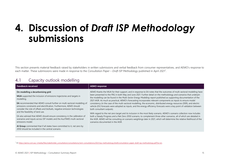## **4. Discussion of** *Draft ISP Methodology* **submissions**

This section presents material feedback raised by stakeholders in written submissions and verbal feedback from consumer representatives, and AEMO's response to each matter. These submissions were made in response to the *Consultation Paper – Draft ISP Methodology* published in April 2021<sup>7</sup> .

### 4.1 Capacity outlook modelling

<span id="page-14-0"></span>

| Feedback received                                                                                                                                                                                                                                                                                                                                                                                                                                                                                                                                                                                                                                 | <b>AEMO</b> response                                                                                                                                                                                                                                                                                                                                                                                                                                                                                                                                                                                                                                                                                                                                                                                                                                                                                                                                                                                                                                                                                                                                                                                  |
|---------------------------------------------------------------------------------------------------------------------------------------------------------------------------------------------------------------------------------------------------------------------------------------------------------------------------------------------------------------------------------------------------------------------------------------------------------------------------------------------------------------------------------------------------------------------------------------------------------------------------------------------------|-------------------------------------------------------------------------------------------------------------------------------------------------------------------------------------------------------------------------------------------------------------------------------------------------------------------------------------------------------------------------------------------------------------------------------------------------------------------------------------------------------------------------------------------------------------------------------------------------------------------------------------------------------------------------------------------------------------------------------------------------------------------------------------------------------------------------------------------------------------------------------------------------------------------------------------------------------------------------------------------------------------------------------------------------------------------------------------------------------------------------------------------------------------------------------------------------------|
| On modelling a decarbonising grid:<br>MUA supported the inclusion of emissions trajectories and targets in<br>modelling.<br>EA recommended that AEMO consult further on multi-sectoral modelling of<br>emissions constraints and electrification. Furthermore, AEMO should<br>consider the role of offsets and biofuels, negative emission technologies<br>and the feasibility of land use.<br>EA also advised that AEMO should ensure consistency in the calibration of<br>scenarios and inputs across ISP models and the AusTIMES multi-sectoral<br>emissions model.<br>Al Group commented that if all states have committed to it, net zero by | AEMO thanks the MUA for their support, and in response to EA notes that the outcomes of multi-sectoral modelling have<br>been presented to the FRG in both May and June 2021. Further detail on the methodology and scenarios that underpin<br>the modelling can be found in the Multi-Sector Energy Modelling report published as supporting documentation of the<br>2021 IASR. As much as practical, AEMO's forecasting incorporates relevant components as inputs to ensure model<br>consistency (in the case of the multi-sectoral modelling, the economic, distributed energy resources (DER), and electric<br>vehicle (EV) forecasts were adopted as inputs, and the energy efficiency forecasts were a key point of validation between<br>both consultant outputs).<br>With regard to the net zero target and its inclusion in the most likely scenario, AEMO's scenario collection now includes<br>both a Steady Progress and a Net Zero 2050 scenario, to complement three other scenarios, all of which are detailed in<br>the IASR. AEMO will be consulting on scenario weightings later in 2021, which will determine the relative likelihood of the<br>scenarios documented in the IASR. |
| 2050 should be included in the central scenario.                                                                                                                                                                                                                                                                                                                                                                                                                                                                                                                                                                                                  |                                                                                                                                                                                                                                                                                                                                                                                                                                                                                                                                                                                                                                                                                                                                                                                                                                                                                                                                                                                                                                                                                                                                                                                                       |

<span id="page-14-1"></span> $^7$  At https://aemo.com.au/-/media/files/stakeholder\_consultation/consultations/nem-consultations/2021/isp-methodology/draft/consultation-paper-draft-isp-methodology.pdf?la=en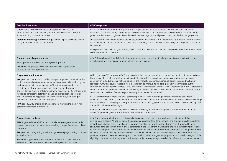| <b>Feedback received</b>                                                                                                                                                                                                                                                                                                                                                                                                                                                                                                                                                                                                                                                                                                    | <b>AEMO</b> response                                                                                                                                                                                                                                                                                                                                                                                                                                                                                                                                                                                                                                                                                                                                                                                                                                                                                                                                                                                                                                                                                                                                                                                                                                                                                                                                                                                                                                   |
|-----------------------------------------------------------------------------------------------------------------------------------------------------------------------------------------------------------------------------------------------------------------------------------------------------------------------------------------------------------------------------------------------------------------------------------------------------------------------------------------------------------------------------------------------------------------------------------------------------------------------------------------------------------------------------------------------------------------------------|--------------------------------------------------------------------------------------------------------------------------------------------------------------------------------------------------------------------------------------------------------------------------------------------------------------------------------------------------------------------------------------------------------------------------------------------------------------------------------------------------------------------------------------------------------------------------------------------------------------------------------------------------------------------------------------------------------------------------------------------------------------------------------------------------------------------------------------------------------------------------------------------------------------------------------------------------------------------------------------------------------------------------------------------------------------------------------------------------------------------------------------------------------------------------------------------------------------------------------------------------------------------------------------------------------------------------------------------------------------------------------------------------------------------------------------------------------|
| Origin stated AEMO should incorporate policies that focus on<br>responsiveness to peak demands, such as the Peak Demand Reduction<br>Scheme (PDRS) in New South Wales.                                                                                                                                                                                                                                                                                                                                                                                                                                                                                                                                                      | AEMO confirms that it does model growth in the responsiveness of peak demand. This includes both traditional<br>measures, such as temporary load reductions (known as demand side participation, or DSP) and the use of embedded<br>generators, but also through use of coordinated battery storage (as virtual power plants) and flexible charging of EVs.                                                                                                                                                                                                                                                                                                                                                                                                                                                                                                                                                                                                                                                                                                                                                                                                                                                                                                                                                                                                                                                                                            |
| Victorian Bioenergy Network suggested the impact of climate change<br>on hydro inflows should be considered.                                                                                                                                                                                                                                                                                                                                                                                                                                                                                                                                                                                                                | The scenarios have different demand growth assumptions, and the NSW PDRS in particular is modelled in various forms<br>of implementation in most scenarios to reflect the uncertainty of the scheme (the final design and legislation has yet to<br>be revealed).                                                                                                                                                                                                                                                                                                                                                                                                                                                                                                                                                                                                                                                                                                                                                                                                                                                                                                                                                                                                                                                                                                                                                                                      |
|                                                                                                                                                                                                                                                                                                                                                                                                                                                                                                                                                                                                                                                                                                                             | In response to feedback on hydro inflows, AEMO notes that the impact of climate change on hydro inflows is considered<br>and is documented in the IASR.                                                                                                                                                                                                                                                                                                                                                                                                                                                                                                                                                                                                                                                                                                                                                                                                                                                                                                                                                                                                                                                                                                                                                                                                                                                                                                |
| On sub-regional representation:<br>EA supported the move to a sub-regional approach.<br>Powerlink was pleased to see enhancement with respect to the<br>sub-regional model representation                                                                                                                                                                                                                                                                                                                                                                                                                                                                                                                                   | AEMO thanks EA and Powerlink for their support in the proposed sub-regional representation which aims to better<br>reflect current and emerging intra-regional transmission limitations.                                                                                                                                                                                                                                                                                                                                                                                                                                                                                                                                                                                                                                                                                                                                                                                                                                                                                                                                                                                                                                                                                                                                                                                                                                                               |
| On generator retirements:<br>AGL proposed that AEMO consider changes for generator operations that<br>could impact early retirements, like two-shifting, seasonal mothballing, and<br>minimum generation improvement. AGL further recommended the<br>consideration of spot price curves and the inclusion of revenue from<br>ancillary service markets or future operating reserve or inertia markets with<br>respect to generators, potentially by using historical requency control<br>ancillary services (FCAS) prices and consideration of system strength<br>remediation costs for solar and wind plants.<br>PIAC stated AEMO should assume generators may exit the market well<br>before their intended closure date. | With regard to AGL's proposal, AEMO acknowledges that changes in coal operation will factor into retirement decisions.<br>However, AEMO is not in a position to independently assess the technical and commercial implications of flexible<br>operation on individual power stations, as well as the implications on maintenance, reliability, costs, and fuel supply<br>contracts. AEMO has sought feedback from stakeholders to improve its modelling capabilities in this area but the<br>information available remains limited. AEMO will consider the impact of changes in coal operation as much as practicable<br>in the ISP, through periods of decommitment. This type of behaviour will be included as part of the revenue sufficiency<br>assessment, and will be a feature in system security assessments for the future.<br>AEMO confirms that its modelling does consider spot prices when forecasting wholesale market revenue for coal<br>generation. At this stage, considerations about further revenue streams not directly associated with the wholesale energy<br>market remain too challenging to incorporate into the ISP modelling, given the uncertainty around their materiality, and<br>competition with new technologies.<br>With regard to PIAC's observation, AEMO's revenue sufficiency assessments will provide further information on the<br>drivers for potential generator exits before their intended closure date. |
| On anticipated projects:<br>PIAC suggested that AEMO should not take as given government projects<br>or plans that are uncommitted and/or unlikely, irrespective of their political<br>popularity.<br>AGL proposed categorising anticipated generation projects using consistent<br>spot price curves.<br>Powerlink supported the inclusion of an anticipated project where in<br>AEMO's and the transmission network service provider's (TNSP's)                                                                                                                                                                                                                                                                           | AEMO acknowledges that government projects should not be taken as a given without consideration of their<br>development progress. AEMO will apply the anticipated project criteria for generation and storage projects consistently<br>regardless of whether projects are financed by government or the private sector. If government-awarded funding is<br>announced for a generation project, this is considered in the assessment of whether a project is sufficiently progressed<br>towards meeting the finance commitment criteria. For such a generation project to be considered as anticipated, it must<br>be in the process of meeting at least two other commitment criteria. In the case where government-awarded funding<br>provides long-term investment certainty and is awarded as part of a large-scale program, AEMO may have regard to the<br>eligibility criteria for this funding when considering a project's progress against other (non-finance) commitment criteria.                                                                                                                                                                                                                                                                                                                                                                                                                                                           |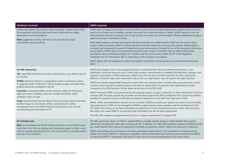| <b>Feedback received</b>                                                                                                                                                                                                                                                                                                                                                                                                                                                                                                                                                                                                                                                                                                                              | <b>AEMO</b> response                                                                                                                                                                                                                                                                                                                                                                                                                                                                                                                                                                                                                                                                                                                                                                                               |  |
|-------------------------------------------------------------------------------------------------------------------------------------------------------------------------------------------------------------------------------------------------------------------------------------------------------------------------------------------------------------------------------------------------------------------------------------------------------------------------------------------------------------------------------------------------------------------------------------------------------------------------------------------------------------------------------------------------------------------------------------------------------|--------------------------------------------------------------------------------------------------------------------------------------------------------------------------------------------------------------------------------------------------------------------------------------------------------------------------------------------------------------------------------------------------------------------------------------------------------------------------------------------------------------------------------------------------------------------------------------------------------------------------------------------------------------------------------------------------------------------------------------------------------------------------------------------------------------------|--|
| professional opinion the project is likely to proceed. Powerlink also noted<br>that sensitivities should be performed where investments are highly<br>dependent on such assumptions.<br>MUA suggested including "sea areas" (not just land) for project<br>commitment criteria questions.                                                                                                                                                                                                                                                                                                                                                                                                                                                             | AEMO does not agree that spot price curves should be used to assess anticipated generation projects as this would not<br>result in an accurate view of whether a project may reach final investment decision. Rather, AEMO intends to track the<br>final investment decisions of projects and include projects once they have demonstrated sufficient development progress<br>against the project commitment criteria.                                                                                                                                                                                                                                                                                                                                                                                             |  |
|                                                                                                                                                                                                                                                                                                                                                                                                                                                                                                                                                                                                                                                                                                                                                       | While AEMO agrees in principle that projects should be included once AEMO and the TNSP form the opinion that a<br>project is likely to proceed, AEMO's outlined approach minimises subjectivity in forming that opinion. AEMO applies a<br>consistent and transparent framework to determine project advancement, through the use of the Generation Information<br>survey dataset. AEMO agrees that sensitivities should be used to assess investments that are highly influenced by<br>assumptions about anticipated projects, but considers that this can be done in either the ISP or the Regulatory<br>Investment Test for Transmisison (RIT-T), depending on the individual circumstance.<br>AEMO agrees with the suggestion to expand the project commitment criteria questions to include both land and sea |  |
|                                                                                                                                                                                                                                                                                                                                                                                                                                                                                                                                                                                                                                                                                                                                                       | rights.                                                                                                                                                                                                                                                                                                                                                                                                                                                                                                                                                                                                                                                                                                                                                                                                            |  |
| On DER interactions:                                                                                                                                                                                                                                                                                                                                                                                                                                                                                                                                                                                                                                                                                                                                  | AEMO acknowledges that it is increasingly important to understand the interactions between transmission- and                                                                                                                                                                                                                                                                                                                                                                                                                                                                                                                                                                                                                                                                                                       |  |
| TEC stated DER investments should be optimised as a cost-effective part of<br>the solution.<br><b>ETROG</b> referred to Powercor's proposals to invest in solutions to unlock<br>1.3 gigawatts (GW) of DER and 1.1 GW of energy storage, and stated these<br>projects should be considered in the ISP.<br>Powerlink commented AEMO should revise the rooftop PV forecast to<br>align with recent installation rates and consider sensitivities where<br>installation rates increase.<br>Origin recommended that the effects of South Australia export constraints<br>and the Energy Security Board's (ESB's) consideration for similar<br>arrangements across the NEM should be incorporated so as to avoid<br>overestimating the contribution of PV. | distribution-connected resources and is continuing to explore improvements in modelling DER behaviour. However, with<br>regards to optimisation of DER investments, AEMO notes that the drivers of DER investment are often significantly<br>different to those for large-scale investments, and as such a co-optimisation may not result in the right outcomes.                                                                                                                                                                                                                                                                                                                                                                                                                                                   |  |
|                                                                                                                                                                                                                                                                                                                                                                                                                                                                                                                                                                                                                                                                                                                                                       | AEMO has recently updated DER forecasts for each of the new scenarios which consider policy announcements, current<br>customer trends and other potential impacts. Forecasts for distributed PV in particular have significantly increased<br>compared to the 2020 forecasts. Further detail can be found in the 2021 IASR.                                                                                                                                                                                                                                                                                                                                                                                                                                                                                        |  |
|                                                                                                                                                                                                                                                                                                                                                                                                                                                                                                                                                                                                                                                                                                                                                       | AEMO's forecast of DER is not constrained by the potential impacts of export constraints, or other mechanisms to limit or<br>constrain DER. Forecasts provide the projected unconstrained output from DER to enable the ISP to assess the potential<br>benefits from greater amounts of DER and any potential implications on the ODP from high levels of DER.                                                                                                                                                                                                                                                                                                                                                                                                                                                     |  |
|                                                                                                                                                                                                                                                                                                                                                                                                                                                                                                                                                                                                                                                                                                                                                       | AEMO, TNSPs, and diustribution network service provioders (DNSPs) are working to explore how plans to accommodate<br>high penetrations of DER can be leveraged by AEMO to support power system operation and the development of the<br>ISP. DNSPs will continue to use their knowledge and experience to make investment decisions on their networks and in<br>the longer term, assist AEMO in incorporating that information into the ISP where appropriate.                                                                                                                                                                                                                                                                                                                                                      |  |
|                                                                                                                                                                                                                                                                                                                                                                                                                                                                                                                                                                                                                                                                                                                                                       | The ESB's DER integration programme will continue to explore requirements to integrate DER                                                                                                                                                                                                                                                                                                                                                                                                                                                                                                                                                                                                                                                                                                                         |  |
| On included costs:<br>MUA recommended that the ISP include a transition cost for REZs located<br>more than 50 km from an existing coal-fired power station to reflect social                                                                                                                                                                                                                                                                                                                                                                                                                                                                                                                                                                          | The NER, specifically clause 5.22.10(c)(1), require AEMO to consider specific classes of market benefits that could be<br>delivered by development paths when preparing an ISP. In addition, the AER's CBA Guidelines require that AEMO exclude<br>any market benefit which cannot be measured as a benefit to generators, DNSPs, TNSPs and consumers of electricity.                                                                                                                                                                                                                                                                                                                                                                                                                                              |  |
| costs of avoiding unemployment for coal-fired workforce, relocation and/or<br>training of new workforce.                                                                                                                                                                                                                                                                                                                                                                                                                                                                                                                                                                                                                                              | AEMO acknowledges the importance of the views presented by MUA and ETU, and notes that the Australian Energy<br>Market Commission (AEMC) is intending to undertake a review of the transmission planning and investment framework,<br>including the ISP/RIT-T framework. MUA and ETU may wish to consider providing these views in that review.                                                                                                                                                                                                                                                                                                                                                                                                                                                                    |  |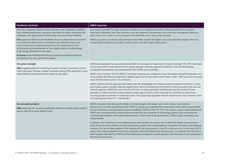| <b>Feedback received</b>                                                                                                                                                                                                                                                                                                                | <b>AEMO</b> response                                                                                                                                                                                                                                                                                                                                                                                                                                                                                                                                                                                                                                                                                                                                                                                                                                                                                                                                                                                                                                                                                                                                                                                                                                                                                           |
|-----------------------------------------------------------------------------------------------------------------------------------------------------------------------------------------------------------------------------------------------------------------------------------------------------------------------------------------|----------------------------------------------------------------------------------------------------------------------------------------------------------------------------------------------------------------------------------------------------------------------------------------------------------------------------------------------------------------------------------------------------------------------------------------------------------------------------------------------------------------------------------------------------------------------------------------------------------------------------------------------------------------------------------------------------------------------------------------------------------------------------------------------------------------------------------------------------------------------------------------------------------------------------------------------------------------------------------------------------------------------------------------------------------------------------------------------------------------------------------------------------------------------------------------------------------------------------------------------------------------------------------------------------------------|
| MUA also suggested AEMO should undertake more integrated modelling<br>that includes employment, education, and health to better understand the<br>challenges and opportunities of the energy transition being modelled.                                                                                                                 | As a result, at present the wider economic benefits such as employment, health (including benefits from emission<br>reductions), education, and other transition costs are captured in government policy and land management planning,<br>which may in turn result in a direct impact on the electricity sector that can be included.                                                                                                                                                                                                                                                                                                                                                                                                                                                                                                                                                                                                                                                                                                                                                                                                                                                                                                                                                                          |
| ETU supported MUA's recommendation and also added that the transition<br>cost should be determined in consultation with affected workers and<br>communities and it would also account for the construction of new<br>infrastructure and development of new supply chains to facilitate large-<br>scale energy being built in new areas. | AEMO's locational cost factors (documented in the IASR) consider the higher costs associated with projects which are<br>located further away from population centres, ports, and other major infrastructure.                                                                                                                                                                                                                                                                                                                                                                                                                                                                                                                                                                                                                                                                                                                                                                                                                                                                                                                                                                                                                                                                                                   |
| Al Group recommended that emissions reductions benefits should be<br>incorporated into the cost benefit analysis.                                                                                                                                                                                                                       |                                                                                                                                                                                                                                                                                                                                                                                                                                                                                                                                                                                                                                                                                                                                                                                                                                                                                                                                                                                                                                                                                                                                                                                                                                                                                                                |
| On system strength:<br>MEU suggested that the modelling of system strength investments should<br>reflect who pays, because variable renewable energy (VRE) generators could<br>make different locational decisions based on who pays.                                                                                                   | AEMO acknowledges the views presented by MEU on who pays for investments for system strength. The ISP is developed<br>on the basis of the current framework for system strength, using the approaches defined in the ISP Methodology,<br>including the assessments and considerations that AEMO must undertake.<br>AEMO notes, however, that the AEMC is currently reviewing rules changes to revise the system strength frameworks, and<br>has proposed alternative arrangements, seeking input prior to final determination later in 2021. MEU may wish to provide<br>input into that review prior to its conclusion.<br>AEMO confirms that the approach described in the ISP Methodology will initially prioritise projected investment in areas<br>with surplus system strength, balanced against other factors (including but not limited to resource quality, land use, and<br>network capacity). AEMO also notes that the ISP does not direct generation development and the location of new<br>generation is determined by investors based a wide range of factors, which may lead to investments in other areas,<br>including private investment in connection assets. Any supporting regulated network infrastructure, must, however, meet<br>the requirements of the RIT-T and the NEO.             |
| On coincident projects:<br>MEU stated the ISP should recognise that delivering multiple major projects<br>side by side will increase delivery costs.                                                                                                                                                                                    | AEMO recognises that delivery of multiple coincident projects will impact costs, both in labour and materials.<br>Infrastructure Australia has partnered with AEMO to assess and understand the employment and material requirements<br>for the transmission and generation projects identified in AEMO's 2020 ISP. This new analysis, scoped collaboratively with<br>AEMO and commissioned by Infrastructure Australia from the University of Technology Sydney, aims to improve the<br>understanding of labour and material requirements to inform and assist governments, TNSPs, project developers and<br>market bodies.<br>In addition, the Transmission Cost Database allows the selection of a known risk to reflect the impact on transmission<br>costs of the concurrent delivery of large transmission projects that is attributable to competition for labour and materials.<br>However, this has not been applied to the majority of Class 5a/b projects in the ISP as they are so far in the future (10-15<br>years), which means detailed construction schedules cannot be forecast with any accuracy. It is expected that the Class 3<br>and 4 projects estimated by TNSPs will have allowances included for market pressure, since these are to be constructed in<br>the shorter time horizon. |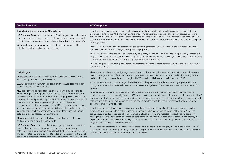| <b>Feedback received</b>                                                                                                                                                                                                                                                                                                                                                                                                                                                                                                                                                                                                                                                                                                                                                                                                                                                                                                                                                                                                                                                                                                                                                                                                                                                                    | <b>AEMO</b> response                                                                                                                                                                                                                                                                                                                                                                                                                                                                                                                                                                                                                                                                                                                                                                                                                                                                                                                                                                                                                                                                                                                                                                                                                                                                                                                                                                                                                                                                                                                                                                                                                                                                                                                                                                                                                                                                                                                                                                                                                                                                            |
|---------------------------------------------------------------------------------------------------------------------------------------------------------------------------------------------------------------------------------------------------------------------------------------------------------------------------------------------------------------------------------------------------------------------------------------------------------------------------------------------------------------------------------------------------------------------------------------------------------------------------------------------------------------------------------------------------------------------------------------------------------------------------------------------------------------------------------------------------------------------------------------------------------------------------------------------------------------------------------------------------------------------------------------------------------------------------------------------------------------------------------------------------------------------------------------------------------------------------------------------------------------------------------------------|-------------------------------------------------------------------------------------------------------------------------------------------------------------------------------------------------------------------------------------------------------------------------------------------------------------------------------------------------------------------------------------------------------------------------------------------------------------------------------------------------------------------------------------------------------------------------------------------------------------------------------------------------------------------------------------------------------------------------------------------------------------------------------------------------------------------------------------------------------------------------------------------------------------------------------------------------------------------------------------------------------------------------------------------------------------------------------------------------------------------------------------------------------------------------------------------------------------------------------------------------------------------------------------------------------------------------------------------------------------------------------------------------------------------------------------------------------------------------------------------------------------------------------------------------------------------------------------------------------------------------------------------------------------------------------------------------------------------------------------------------------------------------------------------------------------------------------------------------------------------------------------------------------------------------------------------------------------------------------------------------------------------------------------------------------------------------------------------------|
| On including the gas system in ISP modelling:<br><b>ISP Consumer Panel</b> recommended AEMO include gas optimisation to the<br>maximum extent possible, include consideration of gas supply issues, and<br>consider ways to improve co-optimisation and coordination in future ISPs.<br>Victorian Bioenergy Network stated that there is no mention of the<br>potential impact of a carbon tax on gas prices.                                                                                                                                                                                                                                                                                                                                                                                                                                                                                                                                                                                                                                                                                                                                                                                                                                                                               | AEMO has further considered the approach to gas optimisation in multi-sector modelling conducted by CSIRO and<br>described in detail in the IASR. The multi-sectoral modelling considers consumption of all energy sources across the<br>economy and considers the degree of change affecting all energy sources to meet the decarbonisation needs of each<br>scenario. This includes increased fuel-switching to electrification, hydrogen and/or biofuels, which have differing impacts<br>on the gas system.<br>In the ISP itself, the modelling of operation of gas-powered generators (GPG) will consider the technical and financial<br>variables defined in the 2021 IASR, including natural gas prices.<br>The ISP will also examine a low gas price sensitivity, to quantify the influence of this variable on potentially actionable ISP<br>projects. This analysis will be conducted with regards to the parameters for each scenario, which includes carbon budgets<br>for some (but not all) scenarios as informed by the multi-sectoral modelling.<br>In conducting the ISP modelling, while carbon budgets may influence the long-term evolution of the power system, no<br>carbon tax is applied.                                                                                                                                                                                                                                                                                                                                                                                                                                                                                                                                                                                                                                                                                                                                                                                                                                                                               |
| On hydrogen:<br>Al Group recommended that AEMO should consider which services the<br>NEM could get from the hydrogen sector.<br><b>EWOSA</b> advised that AEMO should consult with the Australian hydrogen<br>council in regard to hydrogen sites.<br>MEU stated in a verbal feedback session that AEMO should not project<br>where hydrogen sites might be located. In a separate written submission,<br>the MEU provided feedback that the Hydrogen Superpower scenario should<br>not be used to justify locationally specific investments because the potential<br>scale and location of electrolysers is highly uncertain. The MEU<br>recommended that for the purposes of the ISP, the Hydrogen Superpower<br>scenario should just address the increased demand that might occur in each<br>state as a result of electrolyser investment rather than trying to be more<br>definitive in size and location of electrolysers.<br>MUA supported the inclusion of hydrogen modelling and noted that<br>offshore wind can supply the load at ports.<br><b>ISP Consumer Panel</b> reiterated that it had ongoing concerns around the<br>treatment of hydrogen in the context of significant contemporary<br>enthusiasm that is only supported by relatively high level, simplistic analysis. | There are potential services that hydrogen electrolysers could provide to the NEM, such as FCAS or demand response.<br>Due to the large amount of flexible storage and generation that are projected to be developed in the coming decade,<br>and the wide range of potential sources of global FCAS providers, this is not seen to influence the ODP.<br>AEMO has consulted with a wide range of stakeholders on the potential electrolyser sites for hydrogen production,<br>through the series of 2021 IASR webinars and consultation. The Hydrogen Council were consulted and are aware of this<br>approach.<br>Potential electrolyser locations are required to be specified in the model inputs, in order to calculate the distance<br>required to transport the electricity from the REZs to the electrolysers, which informs the overall cost in each state. AEMO<br>considers that it will be more economic to produce hydrogen in some states than others, due to the combination of VRE<br>resource and distance to electrolysers, so this approach allows the model to choose the least cost option (including<br>onshore or offshore wind or solar).<br>AEMO recognises that there remains substantial uncertainty regarding the uptake of hydrogen. However, equally, a<br>future with a substantial uptake of hydrogen could materially influence the optimal design of the future NEM. The<br>scenarios are intended to provide a broad coverage of plausible futures and repeated feedback has indicated that<br>hydrogen is credible enough that it needs to be considered. The relative likelihoods of each scenario, and thereby the<br>impact on actionable investments in the ISP, will be the subject of further stakeholder engagement (through the use of a<br>targeted Delphi panel) in the second half of 2021.<br>AEMO considers that there will be many remote areas where electrolysers are off-grid, such as in the mining sector. For<br>the purpose of the ISP, the majority of hydrogen for transport, domestic and industrial use has been assumed to be on- |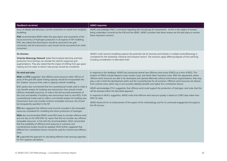| <b>Feedback received</b>                                                                                                                                                                                                                                                                                                                                                                                                                                                                                                                                                                                                                                                                                                                                                                                                                                                                                                                                                                                                                                                                                                                                                                                                                                                                                                                                                                                                                                                                                    | <b>AEMO</b> response                                                                                                                                                                                                                                                                                                                                                                                                                                                                                                                                                                                                                                                                                                                                                                                                                                                                                                                                                                                                                                          |
|-------------------------------------------------------------------------------------------------------------------------------------------------------------------------------------------------------------------------------------------------------------------------------------------------------------------------------------------------------------------------------------------------------------------------------------------------------------------------------------------------------------------------------------------------------------------------------------------------------------------------------------------------------------------------------------------------------------------------------------------------------------------------------------------------------------------------------------------------------------------------------------------------------------------------------------------------------------------------------------------------------------------------------------------------------------------------------------------------------------------------------------------------------------------------------------------------------------------------------------------------------------------------------------------------------------------------------------------------------------------------------------------------------------------------------------------------------------------------------------------------------------|---------------------------------------------------------------------------------------------------------------------------------------------------------------------------------------------------------------------------------------------------------------------------------------------------------------------------------------------------------------------------------------------------------------------------------------------------------------------------------------------------------------------------------------------------------------------------------------------------------------------------------------------------------------------------------------------------------------------------------------------------------------------------------------------------------------------------------------------------------------------------------------------------------------------------------------------------------------------------------------------------------------------------------------------------------------|
| focus of debate and advocacy, not the constraints on results from simplistic<br>modelling.<br><b>PIAC</b> recommended AEMO reflect the speculation and uncertainty of the<br>future economics of hydrogen production in all aspects of ISP modelling.<br>PIAC also stated that electrolysers should be assumed to be grid-<br>connected, and the transmission costs should not be recovered from other<br>consumers.                                                                                                                                                                                                                                                                                                                                                                                                                                                                                                                                                                                                                                                                                                                                                                                                                                                                                                                                                                                                                                                                                        | AEMO acknowledges PIAC's comments regarding who should pay for transmission. As this is the subject of reviews<br>being undertaken currently by the ESB and the AEMC, AEMO considers that these reviews are the best place to resolve<br>these important concerns.                                                                                                                                                                                                                                                                                                                                                                                                                                                                                                                                                                                                                                                                                                                                                                                            |
| On biomass:<br>Victorian Bioenergy Network stated that localised electricity and heat<br>production from biomass can obviate the need for expensive grid<br>augmentations. They also stated that the impact of shifting from gas space<br>heating and hot water to electric heat pumps should be considered.                                                                                                                                                                                                                                                                                                                                                                                                                                                                                                                                                                                                                                                                                                                                                                                                                                                                                                                                                                                                                                                                                                                                                                                                | AEMO's multi-sectoral modelling explores the potential role for biomass and biofuels in multiple sectorsBioenergy is<br>considered for the residential, industrial and transport sectors. The scenarios apply differing degrees of fuel switching,<br>including consideration of alternative fuels.                                                                                                                                                                                                                                                                                                                                                                                                                                                                                                                                                                                                                                                                                                                                                           |
| On wind and solar:<br>MUA and ETU suggested that offshore wind resources within 100 km of<br>areas of the grid with spare hosting capacity should be incorporated into<br>the 'shadow' resource limits used in capacity outlook modelling.<br>Both parties also commented that the counterfactual model used to make a<br>cost-benefit analysis for building new transmission lines should include<br>offshore renewable resources, to make a full and accurate assessment of<br>the costs and benefits of building new transmission lines to new REZs. If the<br>counterfactual model used to make a cost-benefit analysis for building new<br>transmission lines only includes onshore renewable resources, this should<br>be transparently specified in the ISP.<br>ETU also suggested that offshore wind must be included in the renewable<br>resources considered for modelling the future production of hydrogen.<br>MUA also recommended AEMO revise REZ areas to consider offshore wind<br>and not rely on the 2018 DNV-GL report that did not consider any offshore<br>renewable resources. In line with this recommendation, MUA commented<br>that the availability of offshore wind resources in scenarios and<br>counterfactual studies should be updated. MUA further suggested that<br>different firm contribution factors should be used for onshore and offshore<br>wind.<br>EA supported the approach to calculating effective load carrying capacities<br>for firm capacity calculations. | In response to this feedback, AEMO has introduced several new offshore wind zones (OWZs) as a form of REZs. The<br>location of OWZs include Illawarra Coast, Hunter Coast, and North West Tasmania Coast. With this adjustment, where<br>offshore wind resources are able to be developed and operate effectively without transmission augmentations, they may<br>play a role in both the development paths and the counterfactuals for all scenarios. Offshore wind resources are diverse<br>from onshore wind, which may in turn provide reliability benefits and higher firm contribution factors.<br>AEMO acknowledges ETU's suggestion that offshore wind could support the production of hydrogen, and notes that this<br>will be assessed within the described approach.<br>In response to MUA's suggestion, AEMO notes that offshore wind resource quality is based on CSIRO data rather than<br>DNV-GL data.<br>AEMO thanks EA for its endorsement of this aspect of the methodology and for its continued engagement throughout<br>the ISP process. |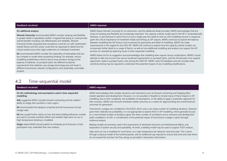### **Feedback received AEMO response**

#### **On additional analysis:**

**Monash University** recommended AEMO consider ramping and flexibility in greater detail in operability models. It argued that doing so could provide overall benefits including cost-effectiveness and reliability. Monash University further proposed that simulations could be run with randomised market factors and the results could then be regressed to determine the critical market issues that might undermine an individual investment.

**EA** recommended AEMO consider the materiality of externalities that are too complex to model when presenting findings; for example, various modelling simplifications tend to favour long-duration storage at the expense of batteries. As pumped hydro has different locational requirements than batteries, any storage technology bias will result in different transmission network configurations and, potentially, actionable projects.

AEMO thanks Monash University for its submission, and the additional detail provided. AEMO acknowledges that the issues of ramping and flexibility are increasingly important. The capacity outlook model used in the ISP is computationally intensive, in part because it cannot focus on just a single year but needs to look at a full modelling horizon in sequence, given the critical importance of investment needs and timings as ISP outputs. AEMO continues to explore the balance between modelling this full horizon and increasing the granularity and detail of modelling. AEMO has made improvements in this regard for the 2022 ISP. AEMO will continue to explore how the capacity outlook models can incorporate further detail on a range of factors, as well as how additional modelling and analysis can support the ISP process, for example by exploring issues in time-sequential modelling.

AEMO thanks EA for its suggestion and acknowledges that modelling does require various simplications. AEMO's inputs attempt to take into account the various locational requirements on pumped hydro, and this formed part of an upward adjustment made to pumped hydro costs during the 2020 ISP. AEMO notes this feedback and will consider what sensitivity testing may be required to understand the potential impacts of any modelling simplifications.

### 4.2 Time-sequential model

<span id="page-20-0"></span>

| <b>Feedback received</b>                                                                                               | AEMO response                                                                                                                                                                                                                                                                                                             |
|------------------------------------------------------------------------------------------------------------------------|---------------------------------------------------------------------------------------------------------------------------------------------------------------------------------------------------------------------------------------------------------------------------------------------------------------------------|
| On the methodology and assumptions used in time-sequential                                                             | AEMO acknowledges that complex dynamics and interactions such as forward contracting and hedging affect                                                                                                                                                                                                                   |
| modelling:                                                                                                             | market operation and development. However, it is not possible or feasible to include many of these impacts in ISP                                                                                                                                                                                                         |
| AGL suggested AEMO consider forward contracting and the retailers'<br>ability to hedge their portfolio in each region. | modelling, due to their complexity, the availability of assumptions, or the ability to apply a systematic approach for<br>their inclusion. AEMO uses forecast wholesale market outcomes as a means for approximating the overall financial<br>outcomes for generators.                                                    |
| <b>EA</b> recommended the adoption of partial and full transmission forced                                             | Transmission outages are considered in the ESOO, which uses a very large number of modelling iterations. However,                                                                                                                                                                                                         |
| outage rates.                                                                                                          | given their relatively low probability, it is not appropriate to explore them in ISP modelling, which generally focuses                                                                                                                                                                                                   |
| <b>EA</b> also sought further clarity on how and when bidding behaviour models                                         | on a more limited number of iterations (given the sheer number of simulations across scenarios and development                                                                                                                                                                                                            |
| are used to consider portfolio effects and whether high wind cut-out or                                                | paths modelled in an ISP). A consideration of the potential impact of transmission outages is given through                                                                                                                                                                                                               |
| high-temperature derating is modelled.                                                                                 | resilience analysis.                                                                                                                                                                                                                                                                                                      |
| <b>Origin</b> stated AEMO should publish its wholesale price forecasts so that                                         | Bidding models are primarily used in the assessments of retirement decisions and distributional effects, and                                                                                                                                                                                                              |
| participants may undertake their own analysis.                                                                         | exploration of system security and operability. At times, a bidding model may be used to support TOOT analysis.                                                                                                                                                                                                           |
|                                                                                                                        | High wind cut-out is modelled for wind farms, as is high temperature de-rating for wind and solar. This is done<br>through a physical model of the turbines/panels, with an additional cap imposed to ensure that wind and solar farms<br>do not exceed the Summer Hot Day ratings as provided in Generation Information. |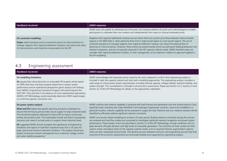| Feedback received                                                                                                                                                                                                                              | <b>AEMO</b> response                                                                                                                                                                                                                                                                                                                                                                                                                                                                                                                                                                                                                                                                                                                   |
|------------------------------------------------------------------------------------------------------------------------------------------------------------------------------------------------------------------------------------------------|----------------------------------------------------------------------------------------------------------------------------------------------------------------------------------------------------------------------------------------------------------------------------------------------------------------------------------------------------------------------------------------------------------------------------------------------------------------------------------------------------------------------------------------------------------------------------------------------------------------------------------------------------------------------------------------------------------------------------------------|
|                                                                                                                                                                                                                                                | AEMO does not publish its wholesale price forecasts, and instead publishes all inputs and methodologies to enable<br>participants to undertake their own analysis and independently form views on forecast wholesale prices.                                                                                                                                                                                                                                                                                                                                                                                                                                                                                                           |
| On constraint modelling:<br>Origin stated clamping events (constraints placed on interconnectors to<br>manage negative inter-regional settlement residues) may reduce the value<br>of interconnectors and should be incorporated into the ISP. | Negative inter-regional settlements residues accrue where there are counter-price flows between interconnected<br>regions in the NEM (that is, when electricity flows from a high-priced region to a low-priced region). The use of<br>constraint equations to manage negative inter-regional settlement residues can impact the physical flow of<br>electricity on interconnectors. However, these events are predominantly driven by participant bidding behaviour and<br>network congestion, and are not typically observed in the ISP capacity outlook model. AEMO therefore does not<br>consider inter-regional settlement residues, or their management, to be material in relation to approach applied in<br>the ISP modelling. |

## 4.3 Engineering assessment

<span id="page-21-0"></span>

| <b>Feedback received</b>                                                                                                                                                                                                                                                                                                                                                                                                                                                                                                                                                                                                                                                                                                                                              | <b>AEMO</b> response                                                                                                                                                                                                                                                                                                                                                                                                                                                                                                                                                                                                                                                                                                                                                                                                                                                                                                                                                                                                                                                                                                                                                                                                                                               |
|-----------------------------------------------------------------------------------------------------------------------------------------------------------------------------------------------------------------------------------------------------------------------------------------------------------------------------------------------------------------------------------------------------------------------------------------------------------------------------------------------------------------------------------------------------------------------------------------------------------------------------------------------------------------------------------------------------------------------------------------------------------------------|--------------------------------------------------------------------------------------------------------------------------------------------------------------------------------------------------------------------------------------------------------------------------------------------------------------------------------------------------------------------------------------------------------------------------------------------------------------------------------------------------------------------------------------------------------------------------------------------------------------------------------------------------------------------------------------------------------------------------------------------------------------------------------------------------------------------------------------------------------------------------------------------------------------------------------------------------------------------------------------------------------------------------------------------------------------------------------------------------------------------------------------------------------------------------------------------------------------------------------------------------------------------|
| On modelling limitations:<br><b>EA</b> argued that critical decisions on actionable ISP projects will be based<br>on ODPs that have not been properly tested from a power system<br>performance and an operational perspective (given analysis and findings<br>from AEMO's Engineering Framework Program will extend beyond the<br>2022 ISP). They said that in the absence of more sophisticated approaches,<br>AEMO's ISP Methodology would essentially determine ODPs based largely<br>on a thermal capacity constraints only.                                                                                                                                                                                                                                     | AEMO acknowledges the important points raised by EA, and is pleased to confirm that engineering analysis is<br>included in both the capacity outlook and short-term modelling approaches. This engineering analysis considers a<br>wide range of critical power system requirements, including thermal capacity, voltage stability, transient stability, and<br>system strength. This consideration is included in all economic assessments. Please see Section 3.2.3, Section 4.1 and<br>Section 4.2 of the ISP Methodology for details on the approaches undertaken.                                                                                                                                                                                                                                                                                                                                                                                                                                                                                                                                                                                                                                                                                             |
| On power system analysis:<br>MUA and ETU stated that specific planning should be undertaken to<br>ensure that the future grid provides secure supply for large industrial loads.<br>This should be explicitly addressed in future ISPs to reduce community<br>anxiety and preserve jobs. The Sustainable Growth and Export Superpower<br>scenarios also need to include policy to support those industrial loads.<br><b>EA</b> suggested AEMO should recognise the significance of engineering<br>limitations and report on load flow snapshots every five or 10 years for<br>peak, typical and minimum demand conditions. This analysis should test<br>system normal and critical contingencies from a thermal, voltage control<br>and wider stability perspective." | AEMO confirms that network capability is assessed with load forecast and generation over the outlook period. If any<br>significant load, including new loads identified in the Hydrogen Superpower scenarios, were to be modelled in a<br>particular location, network capability will be assessed to supply the load. Network and non-network solutions will be<br>identified to efficiently address significant network constraints.<br>AEMO runs hourly market modelling for at least a 20-year period. Binding network constraints during this process<br>are reviewed and load flow studies are conducted to investigate significant network congestion and power system<br>performance. These studies, which are described in Section 4.1 of the ISP Methodology, include conditions such as<br>peak demand, off-peak demand, and high levels of renewable generation. The outcomes of these studies are then<br>used to review and adjust inputs to the capacity outlook model, such as required network augmentation options,<br>which are then reassessed economically. This iterative process between economic and engineering ensures that final<br>outcome of the economic assessments are technically feasible and supported by engineering analysis. |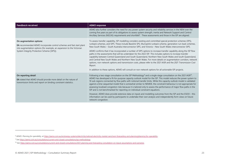| <b>Feedback received</b>                                                                                                                                                                                                 | <b>AEMO</b> response                                                                                                                                                                                                                                                                                                                                                                                                                                                                                                                                                                                                                                                                                                                                                                                                                                                                                                                                                                                                                                             |
|--------------------------------------------------------------------------------------------------------------------------------------------------------------------------------------------------------------------------|------------------------------------------------------------------------------------------------------------------------------------------------------------------------------------------------------------------------------------------------------------------------------------------------------------------------------------------------------------------------------------------------------------------------------------------------------------------------------------------------------------------------------------------------------------------------------------------------------------------------------------------------------------------------------------------------------------------------------------------------------------------------------------------------------------------------------------------------------------------------------------------------------------------------------------------------------------------------------------------------------------------------------------------------------------------|
|                                                                                                                                                                                                                          | AEMO also further considers the need for any power system security and reliability services in the NEM over the<br>coming five years as part of its obligations to assess system strength, inertia and Network Support and Control<br>Ancillary Services (NSCAS) requirements and shortfalls <sup>8</sup> . These assessments and those in the ISP are aligned.                                                                                                                                                                                                                                                                                                                                                                                                                                                                                                                                                                                                                                                                                                  |
| On augmentation options:<br>EA recommended AEMO incorporate control schemes and fast start plant<br>into augmentation options (for example, an expansion to the Victorian<br>System Integrity Protection Scheme [SIPS]). | To assess transfer capability, ISP modelling considers existing and committed special protection schemes (SPS),<br>runback schemes, and SIPS. These include Basslink SPS, Murraylink runback scheme, generation run-back schemes,<br>New South Wales - South Australia interconnector SIPS, and Victoria - New South Wales interconnector SIPS.<br>AEMO confirms that it has incorporated a number of SIPS options to increase transfer capability along the ISP flow<br>paths in the assessments that will be undertaken for the 2022 ISP. This includes options to increase transfer<br>capability between Central Queensland and South Queensland, Northern New South Wales and South Queensland,<br>and Central New South Wales and Northern New South Wales. For more details on augmentation corridors, network<br>options, non-network options and transmission costs, please refer to the 2021 IASR and the 2021 Transmission Cost<br>Report.<br>In addition to these options, AEMO will consult on non-network options for all actionable ISP projects. |
| On reporting detail:<br>EA stated that AEMO should provide more detail on the nature of<br>transmission limits and report on binding constraint statistics.                                                              | Following a two-stage consultation on the ISP Methodology <sup>9</sup> and a single-stage consultation on the 2021 IASR <sup>10</sup> ,<br>AEMO has developed a fit-for-purpose capacity outlook model for the ISP. This model reduces the power system to<br>10 sub-regions connected by flow paths with notional transfer limits. While this capacity outlook model is validated<br>against a time-sequential model that is somewhat similar to NEMDE, the constraint behaviour is not appropriate for<br>assessing localised congestion risks because it is tailored only to assess the performance of major flow paths in the<br>ISP and is not benchmarked for reporting on individual constraint equations.<br>However, AEMO does provide extensive data on inputs and modelling outcomes from the ISP and the ESOO - this<br>information can be used by participants to undertake their own analysis and independently form views on future<br>network congestion.                                                                                        |

<sup>&</sup>lt;sup>8</sup> AEMO. Planning for operability, at https://aemo.com.au/en/energy-systems/electricity/national-electricity-market-nem/nem-forecasting-and-planning/planning-for-operability.

<sup>&</sup>lt;sup>9</sup> See https://aemo.com.au/consultations/current-and-closed-consultations/isp-methodology.

<sup>10</sup> See <https://aemo.com.au/consultations/current-and-closed-consultations/2021-planning-and-forecasting-consultation-on-inputs-assumptions-and-scenarios>*.*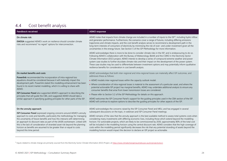## 4.4 Cost benefit analysis

| <b>Feedback received</b>                                                                                                                                     | <b>AEMO</b> response                                                                                                                                                                                                                                                                                                                                                                                                                                                                                                                                                                                                                                                                                                                                                                                                                                                                                                                                                                                                                                                                                                                                                                                                                                 |
|--------------------------------------------------------------------------------------------------------------------------------------------------------------|------------------------------------------------------------------------------------------------------------------------------------------------------------------------------------------------------------------------------------------------------------------------------------------------------------------------------------------------------------------------------------------------------------------------------------------------------------------------------------------------------------------------------------------------------------------------------------------------------------------------------------------------------------------------------------------------------------------------------------------------------------------------------------------------------------------------------------------------------------------------------------------------------------------------------------------------------------------------------------------------------------------------------------------------------------------------------------------------------------------------------------------------------------------------------------------------------------------------------------------------------|
| On climate risk:<br><b>EWOSA</b> suggested AEMO's work on resilience should consider climate<br>risks and recommend "no regret" options for interconnection. | AEMO notes that impacts from climate change are included in a number of inputs to the ISP <sup>11</sup> , including hydro inflow<br>and generator performance. Furthermore, the scenarios cover a range of futures, including differing emissions<br>trajectories and climate impacts, and the cost benefit analysis serves to recommend a development path in the<br>long-term interests of consumers of electricity by minimising the risk of over- and under-investment given all the<br>uncertainties in the energy future. See Section 5 of the ISP Methodology for more information.<br>AEMO acknowledges there is more to be done to consider climate risks in the ISP, and is endeavouring to do so.<br>Following AEMO's collaboration with the Bureau of Meteorology (BoM) and the CSIRO in the Electricity Sector<br>Climate Information (ESCI) project, AEMO intends to develop a series of compound extreme weather and power<br>system case studies to further elucidate climate risks and their impact on the development of the power system.<br>These case studies may be used to differentiate between investment options and may potentially inform qualitative<br>resilience benefits for consideration in cost benefit analysis. |
| On market benefits and costs:                                                                                                                                | AEMO acknowledges that both inter-regional and intra-regional losses can materially affect ISP outcomes, and                                                                                                                                                                                                                                                                                                                                                                                                                                                                                                                                                                                                                                                                                                                                                                                                                                                                                                                                                                                                                                                                                                                                         |
| Powerlink recommended the incorporation of intra-regional loss                                                                                               | addresses these as follows:                                                                                                                                                                                                                                                                                                                                                                                                                                                                                                                                                                                                                                                                                                                                                                                                                                                                                                                                                                                                                                                                                                                                                                                                                          |
| equations should be considered because it will materially impact the                                                                                         | • AEMO models inter-regional losses within the capacity outlook model.                                                                                                                                                                                                                                                                                                                                                                                                                                                                                                                                                                                                                                                                                                                                                                                                                                                                                                                                                                                                                                                                                                                                                                               |
| development path. Powerlink stated this modelling enhancement has been                                                                                       | • Where consideration of intra-regional losses is material to the assessment of a particular asset, and where the                                                                                                                                                                                                                                                                                                                                                                                                                                                                                                                                                                                                                                                                                                                                                                                                                                                                                                                                                                                                                                                                                                                                    |
| found in its recent market modelling, which it is willing to share with                                                                                      | potential actionable ISP project has marginal benefits, AEMO may undertake additional analysis to ensure any                                                                                                                                                                                                                                                                                                                                                                                                                                                                                                                                                                                                                                                                                                                                                                                                                                                                                                                                                                                                                                                                                                                                         |
| AEMO.                                                                                                                                                        | consumer benefits that arise from lower transmission losses are considered.                                                                                                                                                                                                                                                                                                                                                                                                                                                                                                                                                                                                                                                                                                                                                                                                                                                                                                                                                                                                                                                                                                                                                                          |
| ISP Consumer Panel also supported AEMO's approach to describing the                                                                                          | • Please refer to Section 5.2 of the ISP Methodology for details on this approach.                                                                                                                                                                                                                                                                                                                                                                                                                                                                                                                                                                                                                                                                                                                                                                                                                                                                                                                                                                                                                                                                                                                                                                   |
| principles that will guide the CBA, and suggested AEMO should take a                                                                                         | AEMO welcomes the ISP Consumer Panel's support for the guiding principles used in the CBA section of the ISP.                                                                                                                                                                                                                                                                                                                                                                                                                                                                                                                                                                                                                                                                                                                                                                                                                                                                                                                                                                                                                                                                                                                                        |
| similar approach in specifying guiding principles for other parts of the ISP.                                                                                | AEMO will continue to explore options to describe the quiding principles for other aspects of the ISP.                                                                                                                                                                                                                                                                                                                                                                                                                                                                                                                                                                                                                                                                                                                                                                                                                                                                                                                                                                                                                                                                                                                                               |
| On the annuity approach:                                                                                                                                     | AEMO acknowledges the concerns raised by the ISP Consumer Panel and MEU, and has engaged in several                                                                                                                                                                                                                                                                                                                                                                                                                                                                                                                                                                                                                                                                                                                                                                                                                                                                                                                                                                                                                                                                                                                                                  |
| ISP Consumer Panel expressed ongoing concerns around AEMO's annuity                                                                                          | subsequent discussions on the topic, in webinars and ISP Consumer Panel meetings.                                                                                                                                                                                                                                                                                                                                                                                                                                                                                                                                                                                                                                                                                                                                                                                                                                                                                                                                                                                                                                                                                                                                                                    |
| approach to costs and benefits, particularly the methodology for managing                                                                                    | AEMO remains of the view that the annuity approach is the best available method to assess total systems costs when                                                                                                                                                                                                                                                                                                                                                                                                                                                                                                                                                                                                                                                                                                                                                                                                                                                                                                                                                                                                                                                                                                                                   |
| the uncertainty of future benefits and how this interacts with determining                                                                                   | considering many investments with differing economic lives, including those which extend beyond the modelling                                                                                                                                                                                                                                                                                                                                                                                                                                                                                                                                                                                                                                                                                                                                                                                                                                                                                                                                                                                                                                                                                                                                        |
| an approach to discount rates as part of the (IASR) workstream. Linked with                                                                                  | horizon. For actionable projects, which are likely to be commissioned by 2030, approximately 80% of the total cost                                                                                                                                                                                                                                                                                                                                                                                                                                                                                                                                                                                                                                                                                                                                                                                                                                                                                                                                                                                                                                                                                                                                   |
| this is the lack of consideration of stranded asset risk beyond the planning                                                                                 | will be included in the modelling horizon using the central discount rate. AEMO considers that the high coverage of                                                                                                                                                                                                                                                                                                                                                                                                                                                                                                                                                                                                                                                                                                                                                                                                                                                                                                                                                                                                                                                                                                                                  |
| horizon as benefits are assumed to be greater than or equal to costs                                                                                         | costs within the modelling period significantly decreases the risk that any potential stranding of assets beyond the                                                                                                                                                                                                                                                                                                                                                                                                                                                                                                                                                                                                                                                                                                                                                                                                                                                                                                                                                                                                                                                                                                                                 |
| beyond this time period.                                                                                                                                     | modelling horizon would impact the decision to declare an ISP project as actionable.                                                                                                                                                                                                                                                                                                                                                                                                                                                                                                                                                                                                                                                                                                                                                                                                                                                                                                                                                                                                                                                                                                                                                                 |

<span id="page-23-0"></span><sup>&</sup>lt;sup>11</sup> Inputs related to climate change are primarily sourced from the Electricity Sector Climate Information (ESCI) Project, at [https://www.climatechangeinaustralia.gov.au/en/projects/esci/.](https://www.climatechangeinaustralia.gov.au/en/projects/esci/)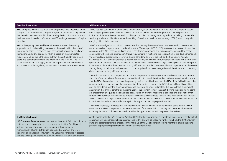### **Feedback received AEMO response**

**MEU** disagreed with the use of an annuity approach and suggested three changes to accommodate its usage – a higher discount rate, a requirement that benefits match costs within the modelling horizon if a commitment to the investment is needed before the next ISP, and a growing cost of capital over time.

**MEU** subsequently reiterated by email its concerns with the annuity approach, particularly making reference to the way in which the cost of transmission assets is recovered from consumers through the regulatory framework. Under this approach, which is based on the depreciated replacement value, the MEU points out that the cost paid by consumers peaks at a point that is beyond the midpoint of the asset life. The MEU stated that if AEMO is to apply an annuity approach it has to be done in accordance with the regulatory model by which asset costs are recovered. AEMO has also committed to undertaking sensitivity analysis on the discount rate. By applying a higher discount rate, a higher percentage of the total cost will be captured within the modelling horizon. This will provide an indication of the sensitivity of the results to this approach for comparing costs beyond the modelling horizon. The sensitivity analysis will identify whether the ranking of candidate development pathways (CDPs) would change in applying different discount rates.

AEMO acknowledges MEU's points, but considers that the way the costs of assets are recovered from consumers is not a permissible or appropriate consideration in the CBA analysis. NER 5.22.10(d) sets out the classes of costs that it can apply in the ISP. These are costs incurred in construction, operating and maintenance costs, and the cost of compliance with laws and other administrative requirements in relation to the construction of the development path; the way costs are subsequently recovered is not a consideration under the NER or the Cost Benefit Analysis Guidelines. AEMO's annuity approach is applied consistently for all build costs, whether associated with transmission, generation or storage so that the benefits of regulated assets can be assessed objectively against private enterprise investment to determine the most economically efficient outcome for consumers. The MEU's preferred application of the regulatory model for annual payments is not appropriate for all asset categories and therefore would potentially distort the economically efficient outcome.

There also appears to be some perception that the net present value (NPV) of annualised costs is not the same as the NPV of the capital cost if assumed to be paid in full upfront and therefore the cost is under-estimated. It is true that the NPV of annualised costs over the planning horizon could be lower than the NPV of the full build cost if the planning horizon is shorter than the economic life of the project. However, the NPV of annual benefits would also only be considered over the planning horizon, and therefore be under-estimated. This means there is an implicit assumption that annual benefits for the remainder of the economic life of the asset (beyond the planning horizon) are greater than or equal to the annualised costs. Based on previous modelling experience, and expectation that current NEM transition will continue to progressively move away from fossil fuels to renewable generation sources, AEMO considers this implicit assumption to be reasonable. In the Draft ISP, AEMO will further outline whether or not it considers that to be a reasonable assumption for any actionable ISP projects identified.

The MEU's response(s) indicates that there remain fundamental differences of view on the points raised. AEMO notes that the AEMC is expected to undertake a review of the transmission planning and investment framework, including the ISP/RIT-T framework, which provides the opportunity for MEU to present these views .

#### **On Delphi technique**:

**ISP Consumer Panel** expressed support for the use of Delphi technique to determine scenario weights and recommended that the Delphi panel includes multiple consumer representatives, at least including representation of small distribution-connected consumers and large transmission-connected consumers. The Consumer Panel also suggested that the Delphi panel should have an independent facilitator and that the

AEMO thanks both the ISP Consumer Panel and PIAC for their suggestions on the Delphi panel. AEMO confirms that consumers will be appropriately represented, and to this end will be engaging further with both the ISP Consumer Panel and stakeholders more broadly on the make-up of the Delphi panel in coming months to ensure the panel provides appropriate representation of various stakeholder groups.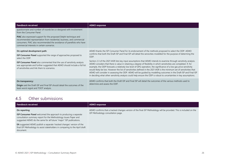| <b>Feedback received</b>                                                                                                                                                                                                                                                                                                                  | <b>AEMO</b> response                                                                                                                                                                                                                                                                                                                                                                                                                                                                                                                                                                                                                                                                                                                                                                                                                                                                                                                                                                   |
|-------------------------------------------------------------------------------------------------------------------------------------------------------------------------------------------------------------------------------------------------------------------------------------------------------------------------------------------|----------------------------------------------------------------------------------------------------------------------------------------------------------------------------------------------------------------------------------------------------------------------------------------------------------------------------------------------------------------------------------------------------------------------------------------------------------------------------------------------------------------------------------------------------------------------------------------------------------------------------------------------------------------------------------------------------------------------------------------------------------------------------------------------------------------------------------------------------------------------------------------------------------------------------------------------------------------------------------------|
| questionnaire and number of rounds be co-designed with involvement<br>from the Consumer Panel.                                                                                                                                                                                                                                            |                                                                                                                                                                                                                                                                                                                                                                                                                                                                                                                                                                                                                                                                                                                                                                                                                                                                                                                                                                                        |
| <b>PIAC</b> also expressed support for the proposed Delphi technique and<br>recommended representation from residential, business, and commercial<br>consumers. PIAC also recommended the avoidance of panellists who have<br>commercial interests in certain scenarios.                                                                  |                                                                                                                                                                                                                                                                                                                                                                                                                                                                                                                                                                                                                                                                                                                                                                                                                                                                                                                                                                                        |
| On optimal development path:<br><b>ISP Consumer Panel</b> supported the range of approaches proposed to<br>select the ODP.<br><b>ISP Consumer Panel</b> also commented that the use of sensitivity analysis<br>was appropriate and further suggested that AEMO should include a full list<br>of sensitivities and link them to scenarios. | AEMO thanks the ISP Consumer Panel for its endorsement of the methods proposed to select the ODP. AEMO<br>confirms that both the Draft ISP and Final ISP will detail the sensivities modelled for the purpose of determing the<br>ODP.<br>Section 2.3 of the 2021 IASR lists key input assumptions that AEMO intends to examine through sensitivity analysis.<br>AEMO considers that there is value in retaining a degree of flexibility in which sensitivities are completed. If, for<br>example, the ODP forecasts a relatively low level of GPG operation, the significance of a low gas price sensitivity<br>would likely be low. However the list of sensitivities defined in the 2021 IASR is the minimum set of sensitivities that<br>AEMO will consider in assessing the ODP. AEMO will be quided by modelling outcomes in the Draft ISP and Final ISP<br>in deciding what other sensitivity analysis could help ensure the ODP is robust to uncertainties in key assumptions. |
| On transparency:<br><b>Origin</b> said the Draft ISP and Final ISP should detail the outcomes of the<br>least-worst regret and TOOT analysis.                                                                                                                                                                                             | AEMO confirms that both the Draft ISP and Final ISP will detail the outcomes of the various methods used to<br>determine and assess the ODP.                                                                                                                                                                                                                                                                                                                                                                                                                                                                                                                                                                                                                                                                                                                                                                                                                                           |

## 4.5 Other submissions

<span id="page-25-0"></span>

| On reporting:<br>ISP Methodology consultation page.<br><b>ISP Consumer Panel</b> welcomed the approach to producing a separate                                                                                                                   | Feedback received                                                | AEMO response                                                                                                       |
|--------------------------------------------------------------------------------------------------------------------------------------------------------------------------------------------------------------------------------------------------|------------------------------------------------------------------|---------------------------------------------------------------------------------------------------------------------|
| suggested AEMO do the same for all future "major" ISP publications.<br><b>EA</b> suggested AEMO publish a separate 'tracked changes' version of the<br>final ISP Methodology to assist stakeholders in comparing to the April draft<br>document. | consultation summary report for the Methodology Issues Paper and | AEMO confirms that a tracked changes version of the final ISP Methodology will be provided. This is included on the |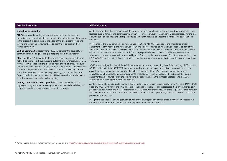#### **Feedback received AEMO response**

#### **On further consideration**:

**ETROG** suggested avoiding investment towards consumers who are expensive to serve and might leave the grid. Consideration should be given to the prospect of consumers at the edge of the grid disconnecting and leaving the remaining consumer base to bear the fixed costs of their former connection.

**Uniting Communities** recommended AEMO consider the possibility of communities at the edge of the grid adopting stand-alone systems.

**MEU** stated the ISP should better take into account the potential for nonnetwork solutions to achieve the same outcome as network solutions. MEU further recommended that the identified need should be articulated such that non-network solutions are duly included. This is particularly relevant to ISP actionable projects for which TNSPs assume that transmission is the optimal solution. MEU states that despite raising this point in the Issues Paper consultation earlier this year, and AEMO stating it was addressed, it feels this has not been addressed adequately.

**Uniting Communities, AI Group and MEU** stated there needs to be ongoing scrutiny and a robust testing process for the efficient delivery of ISP projects and the effectiveness of network businesses.

AEMO acknowledges that communities at the edge of the grid may choose to adopt a stand-alone approach with localised supply, firming, and other essential system resources. However, while important considerations for the local area, the scale and impacts are not expected to be sufficiently material to affect the ISP modelling approach and outcomes.

In response to the MEU comments on non-network solutions, AEMO acknowledges the importance of robust assessment of both network and non-network solutions. AEMO consulted on non-network options as part of the 2021 IASR consultation. AEMO also notes that the ISP already considers several non-network solutions, and AEMO will call for submissions for non-network solutions if a project is declared to be actionable. Any non-network submissions that are received will be assessed by AEMO and provided to the relevant TNSP for consideration in the RIT-T. AEMO endeavours to define the identified need in a way which does not bias the solution toward a particular technology.

AEMO acknowledges that there is benefit in scrutinising and robustly evaluating the efficient delivery of ISP projects. AEMO considers that the ISP/RIT-T framework currently provides extensive mechanisms to protect consumers against inefficient outcomes (for example, the extensive analysis of the ISP including extensive and formal consultation on both inputs and outcomes prior to finalisation of recommendations, the subsequent extensive assessments and consultations by the TNSP during stages of the RIT-T, the ISP feedback loop, and the AER's consideration of contingent project applications).

AEMO is aware of a pending rule change proposal (requested by Energy Users Association of Australia (EUAA), Delta Electricity, MEU, ERM Power and AGL) to consider the need for the RIT-T to be reassessed if a significant change in project costs occurs after the RIT-T is completed.<sup>12</sup> AEMO considers that any review of the regulatory frameworks for transmission should also focus on further streamlining the ISP and RIT-T processes, while preserving the necessary protections for consumers.

In regard to the need for ongoing scrutiny of delivery of ISP projects and effectiveness of network businesses, it is noted that the AER performs this in its role as regulator of the network businesses.

<sup>&</sup>lt;sup>12</sup> AEMC. Material change in network infrastructure project costs, a[t https://www.aemc.gov.au/rule-changes/material-change-network-infrastructure-project-costs.](https://www.aemc.gov.au/rule-changes/material-change-network-infrastructure-project-costs)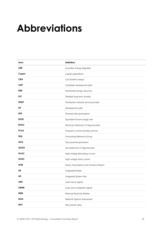## <span id="page-27-0"></span>**Abbreviations**

| Term        | <b>Definition</b>                        |
|-------------|------------------------------------------|
| <b>AER</b>  | Australian Energy Regulator              |
| Capex       | Capital expenditure                      |
| <b>CBA</b>  | Cost benefit analysis                    |
| <b>CDP</b>  | Candidate development path               |
| <b>DER</b>  | Distributed energy resources             |
| <b>DLT</b>  | Detailed long-term (model)               |
| <b>DNSP</b> | Distribution network service provider    |
| <b>DP</b>   | Development path                         |
| <b>DSP</b>  | Demand side participation                |
| <b>EFOR</b> | Equivalent forced outage rate            |
| <b>ESOO</b> | Electricity Statement of Opportunities   |
| <b>FCAS</b> | Frequency control ancillary services     |
| <b>FRG</b>  | Forecasting Reference Group              |
| <b>GPG</b>  | Gas-powered generation                   |
| GSOO        | Gas Statement of Opportunities           |
| <b>HVAC</b> | High voltage alternating current         |
| <b>HVDC</b> | High voltage direct current              |
| <b>IASR</b> | Inputs, Assumptions and Scenarios Report |
| IM          | Integrated Model                         |
| <b>ISP</b>  | Integrated System Plan                   |
| LWR         | Least-worst regrets                      |
| <b>LWWR</b> | Least-worst weighted regrets             |
| <b>NEM</b>  | National Electricity Market              |
| <b>NOA</b>  | Network Options Assessment               |
| <b>NPV</b>  | Net present value                        |